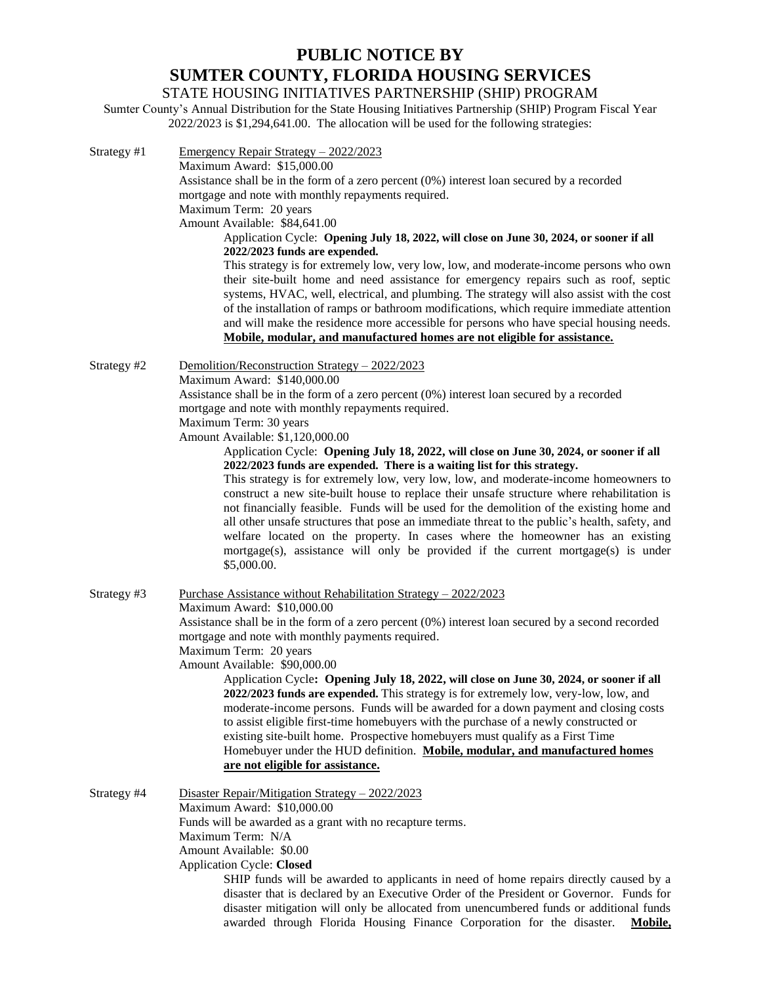## **PUBLIC NOTICE BY SUMTER COUNTY, FLORIDA HOUSING SERVICES**

STATE HOUSING INITIATIVES PARTNERSHIP (SHIP) PROGRAM

Sumter County's Annual Distribution for the State Housing Initiatives Partnership (SHIP) Program Fiscal Year 2022/2023 is \$1,294,641.00. The allocation will be used for the following strategies:

| Strategy #1 | Emergency Repair Strategy - 2022/2023<br>Maximum Award: \$15,000.00<br>Assistance shall be in the form of a zero percent (0%) interest loan secured by a recorded<br>mortgage and note with monthly repayments required.<br>Maximum Term: 20 years<br>Amount Available: \$84,641.00<br>Application Cycle: Opening July 18, 2022, will close on June 30, 2024, or sooner if all<br>2022/2023 funds are expended.<br>This strategy is for extremely low, very low, low, and moderate-income persons who own<br>their site-built home and need assistance for emergency repairs such as roof, septic<br>systems, HVAC, well, electrical, and plumbing. The strategy will also assist with the cost<br>of the installation of ramps or bathroom modifications, which require immediate attention<br>and will make the residence more accessible for persons who have special housing needs.          |
|-------------|--------------------------------------------------------------------------------------------------------------------------------------------------------------------------------------------------------------------------------------------------------------------------------------------------------------------------------------------------------------------------------------------------------------------------------------------------------------------------------------------------------------------------------------------------------------------------------------------------------------------------------------------------------------------------------------------------------------------------------------------------------------------------------------------------------------------------------------------------------------------------------------------------|
| Strategy #2 | Mobile, modular, and manufactured homes are not eligible for assistance.<br>Demolition/Reconstruction Strategy - 2022/2023<br>Maximum Award: \$140,000.00<br>Assistance shall be in the form of a zero percent $(0\%)$ interest loan secured by a recorded<br>mortgage and note with monthly repayments required.<br>Maximum Term: 30 years<br>Amount Available: \$1,120,000.00                                                                                                                                                                                                                                                                                                                                                                                                                                                                                                                  |
|             | Application Cycle: Opening July 18, 2022, will close on June 30, 2024, or sooner if all<br>2022/2023 funds are expended. There is a waiting list for this strategy.<br>This strategy is for extremely low, very low, low, and moderate-income homeowners to<br>construct a new site-built house to replace their unsafe structure where rehabilitation is<br>not financially feasible. Funds will be used for the demolition of the existing home and<br>all other unsafe structures that pose an immediate threat to the public's health, safety, and<br>welfare located on the property. In cases where the homeowner has an existing<br>mortgage(s), assistance will only be provided if the current mortgage(s) is under<br>\$5,000.00.                                                                                                                                                      |
| Strategy #3 | <u> Purchase Assistance without Rehabilitation Strategy – 2022/2023</u><br>Maximum Award: \$10,000.00<br>Assistance shall be in the form of a zero percent (0%) interest loan secured by a second recorded<br>mortgage and note with monthly payments required.<br>Maximum Term: 20 years<br>Amount Available: \$90,000.00<br>Application Cycle: Opening July 18, 2022, will close on June 30, 2024, or sooner if all<br>2022/2023 funds are expended. This strategy is for extremely low, very-low, low, and<br>moderate-income persons. Funds will be awarded for a down payment and closing costs<br>to assist eligible first-time homebuyers with the purchase of a newly constructed or<br>existing site-built home. Prospective homebuyers must qualify as a First Time<br>Homebuyer under the HUD definition. Mobile, modular, and manufactured homes<br>are not eligible for assistance. |
| Strategy #4 | Disaster Repair/Mitigation Strategy $-2022/2023$<br>Maximum Award: \$10,000.00<br>Funds will be awarded as a grant with no recapture terms.<br>Maximum Term: N/A<br>Amount Available: \$0.00<br><b>Application Cycle: Closed</b><br>SHIP funds will be awarded to applicants in need of home repairs directly caused by a<br>disaster that is declared by an Executive Order of the President or Governor. Funds for<br>disaster mitigation will only be allocated from unencumbered funds or additional funds<br>awarded through Florida Housing Finance Corporation for the disaster.<br><b>Mobile,</b>                                                                                                                                                                                                                                                                                        |